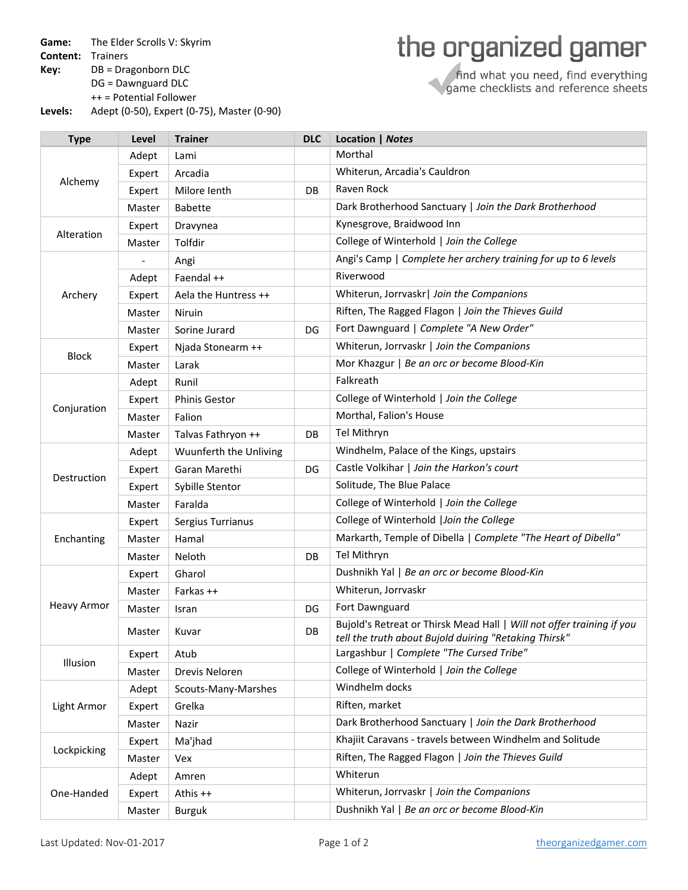**Game:** The Elder Scrolls V: Skyrim

**Content:** Trainers

**Key:** DB = Dragonborn DLC

DG = Dawnguard DLC

++ = Potential Follower

**Levels:** Adept (0‐50), Expert (0‐75), Master (0‐90)

## the organized gamer

find what you need, find everything<br>game checklists and reference sheets

| <b>Type</b>        | Level  | <b>Trainer</b>         | <b>DLC</b> | Location   Notes                                                                                                               |
|--------------------|--------|------------------------|------------|--------------------------------------------------------------------------------------------------------------------------------|
| Alchemy            | Adept  | Lami                   |            | Morthal                                                                                                                        |
|                    | Expert | Arcadia                |            | Whiterun, Arcadia's Cauldron                                                                                                   |
|                    | Expert | Milore lenth           | DB         | Raven Rock                                                                                                                     |
|                    | Master | <b>Babette</b>         |            | Dark Brotherhood Sanctuary   Join the Dark Brotherhood                                                                         |
| Alteration         | Expert | Dravynea               |            | Kynesgrove, Braidwood Inn                                                                                                      |
|                    | Master | Tolfdir                |            | College of Winterhold   Join the College                                                                                       |
| Archery            |        | Angi                   |            | Angi's Camp   Complete her archery training for up to 6 levels                                                                 |
|                    | Adept  | Faendal ++             |            | Riverwood                                                                                                                      |
|                    | Expert | Aela the Huntress ++   |            | Whiterun, Jorrvaskr   Join the Companions                                                                                      |
|                    | Master | Niruin                 |            | Riften, The Ragged Flagon   Join the Thieves Guild                                                                             |
|                    | Master | Sorine Jurard          | DG         | Fort Dawnguard   Complete "A New Order"                                                                                        |
| <b>Block</b>       | Expert | Njada Stonearm ++      |            | Whiterun, Jorrvaskr   Join the Companions                                                                                      |
|                    | Master | Larak                  |            | Mor Khazgur   Be an orc or become Blood-Kin                                                                                    |
|                    | Adept  | Runil                  |            | Falkreath                                                                                                                      |
|                    | Expert | <b>Phinis Gestor</b>   |            | College of Winterhold   Join the College                                                                                       |
| Conjuration        | Master | Falion                 |            | Morthal, Falion's House                                                                                                        |
|                    | Master | Talvas Fathryon ++     | DB         | Tel Mithryn                                                                                                                    |
|                    | Adept  | Wuunferth the Unliving |            | Windhelm, Palace of the Kings, upstairs                                                                                        |
| Destruction        | Expert | Garan Marethi          | DG         | Castle Volkihar   Join the Harkon's court                                                                                      |
|                    | Expert | Sybille Stentor        |            | Solitude, The Blue Palace                                                                                                      |
|                    | Master | Faralda                |            | College of Winterhold   Join the College                                                                                       |
| Enchanting         | Expert | Sergius Turrianus      |            | College of Winterhold   Join the College                                                                                       |
|                    | Master | Hamal                  |            | Markarth, Temple of Dibella   Complete "The Heart of Dibella"                                                                  |
|                    | Master | Neloth                 | DB         | Tel Mithryn                                                                                                                    |
| <b>Heavy Armor</b> | Expert | Gharol                 |            | Dushnikh Yal   Be an orc or become Blood-Kin                                                                                   |
|                    | Master | Farkas ++              |            | Whiterun, Jorrvaskr                                                                                                            |
|                    | Master | Isran                  | DG         | Fort Dawnguard                                                                                                                 |
|                    | Master | Kuvar                  | DB         | Bujold's Retreat or Thirsk Mead Hall   Will not offer training if you<br>tell the truth about Bujold duiring "Retaking Thirsk" |
| Illusion           | Expert | Atub                   |            | Largashbur   Complete "The Cursed Tribe"                                                                                       |
|                    | Master | Drevis Neloren         |            | College of Winterhold   Join the College                                                                                       |
|                    | Adept  | Scouts-Many-Marshes    |            | Windhelm docks                                                                                                                 |
| Light Armor        | Expert | Grelka                 |            | Riften, market                                                                                                                 |
|                    | Master | Nazir                  |            | Dark Brotherhood Sanctuary   Join the Dark Brotherhood                                                                         |
| Lockpicking        | Expert | Ma'jhad                |            | Khajiit Caravans - travels between Windhelm and Solitude                                                                       |
|                    | Master | Vex                    |            | Riften, The Ragged Flagon   Join the Thieves Guild                                                                             |
| One-Handed         | Adept  | Amren                  |            | Whiterun                                                                                                                       |
|                    | Expert | Athis ++               |            | Whiterun, Jorrvaskr   Join the Companions                                                                                      |
|                    | Master | <b>Burguk</b>          |            | Dushnikh Yal   Be an orc or become Blood-Kin                                                                                   |